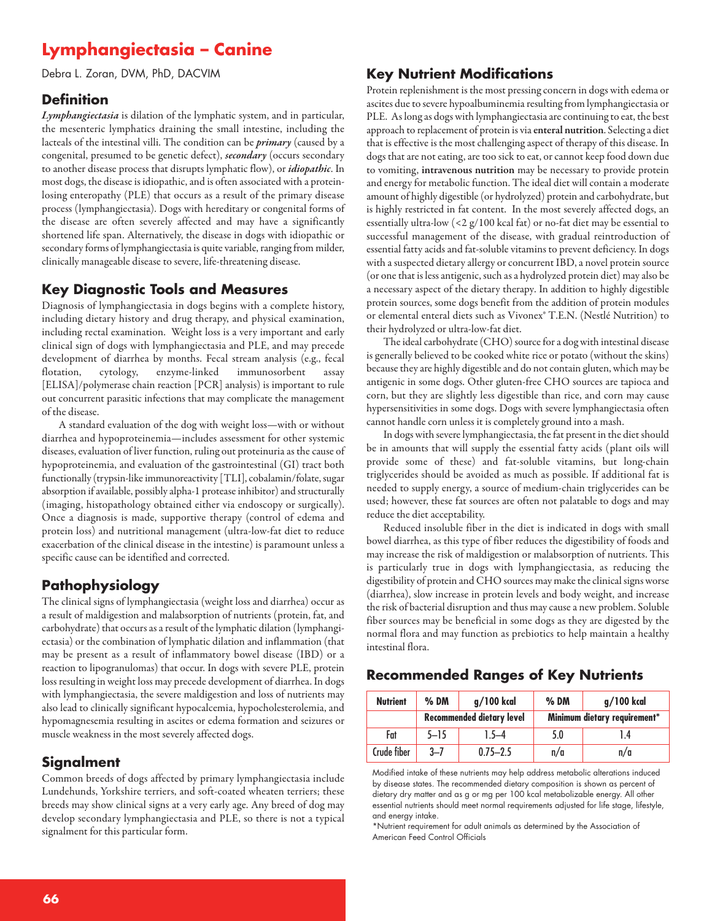# **Lymphangiectasia – Canine**

Debra L. Zoran, DVM, PhD, DACVIM

#### **Definition**

*Lymphangiectasia* is dilation of the lymphatic system, and in particular, the mesenteric lymphatics draining the small intestine, including the lacteals of the intestinal villi. The condition can be *primary* (caused by a congenital, presumed to be genetic defect), *secondary* (occurs secondary to another disease process that disrupts lymphatic flow), or *idiopathic*. In most dogs, the disease is idiopathic, and is often associated with a proteinlosing enteropathy (PLE) that occurs as a result of the primary disease process (lymphangiectasia). Dogs with hereditary or congenital forms of the disease are often severely affected and may have a significantly shortened life span. Alternatively, the disease in dogs with idiopathic or secondary forms of lymphangiectasia is quite variable, ranging from milder, clinically manageable disease to severe, life-threatening disease.

#### **Key Diagnostic Tools and Measures**

Diagnosis of lymphangiectasia in dogs begins with a complete history, including dietary history and drug therapy, and physical examination, including rectal examination. Weight loss is a very important and early clinical sign of dogs with lymphangiectasia and PLE, and may precede development of diarrhea by months. Fecal stream analysis (e.g., fecal flotation, cytology, enzyme-linked immunosorbent assay [ELISA]/polymerase chain reaction [PCR] analysis) is important to rule out concurrent parasitic infections that may complicate the management of the disease.

A standard evaluation of the dog with weight loss—with or without diarrhea and hypoproteinemia—includes assessment for other systemic diseases, evaluation of liver function, ruling out proteinuria as the cause of hypoproteinemia, and evaluation of the gastrointestinal (GI) tract both functionally (trypsin-like immunoreactivity [TLI], cobalamin/folate, sugar absorption if available, possibly alpha-1 protease inhibitor) and structurally (imaging, histopathology obtained either via endoscopy or surgically). Once a diagnosis is made, supportive therapy (control of edema and protein loss) and nutritional management (ultra-low-fat diet to reduce exacerbation of the clinical disease in the intestine) is paramount unless a specific cause can be identified and corrected.

#### **Pathophysiology**

The clinical signs of lymphangiectasia (weight loss and diarrhea) occur as a result of maldigestion and malabsorption of nutrients (protein, fat, and carbohydrate) that occurs as a result of the lymphatic dilation (lymphangiectasia) or the combination of lymphatic dilation and inflammation (that may be present as a result of inflammatory bowel disease (IBD) or a reaction to lipogranulomas) that occur. In dogs with severe PLE, protein loss resulting in weight loss may precede development of diarrhea. In dogs with lymphangiectasia, the severe maldigestion and loss of nutrients may also lead to clinically significant hypocalcemia, hypocholesterolemia, and hypomagnesemia resulting in ascites or edema formation and seizures or muscle weakness in the most severely affected dogs.

#### **Signalment**

Common breeds of dogs affected by primary lymphangiectasia include Lundehunds, Yorkshire terriers, and soft-coated wheaten terriers; these breeds may show clinical signs at a very early age. Any breed of dog may develop secondary lymphangiectasia and PLE, so there is not a typical signalment for this particular form.

#### **Key Nutrient Modifications**

Protein replenishment is the most pressing concern in dogs with edema or ascites due to severe hypoalbuminemia resulting from lymphangiectasia or PLE. As long as dogs with lymphangiectasia are continuing to eat, the best approach to replacement of protein is via **enteral nutrition**. Selecting a diet that is effective is the most challenging aspect of therapy of this disease. In dogs that are not eating, are too sick to eat, or cannot keep food down due to vomiting, **intravenous nutrition** may be necessary to provide protein and energy for metabolic function. The ideal diet will contain a moderate amount of highly digestible(or hydrolyzed) protein and carbohydrate, but is highly restricted in fat content. In the most severely affected dogs, an essentially ultra-low (<2 g/100 kcal fat) or no-fat diet may be essential to successful management of the disease, with gradual reintroduction of essential fatty acidsand fat-soluble vitamins to prevent deficiency. In dogs with a suspected dietary allergy or concurrent IBD, a novel protein source (or one that is less antigenic, such as a hydrolyzed protein diet) may also be a necessary aspect of the dietary therapy. In addition to highly digestible protein sources, some dogs benefit from the addition of protein modules or elemental enteral diets such as Vivonex® T.E.N. (Nestlé Nutrition) to their hydrolyzed or ultra-low-fat diet.

The ideal carbohydrate (CHO) source for a dog with intestinal disease is generally believed to be cooked white rice or potato (without the skins) because they are highly digestible and do not contain gluten, which may be antigenic in some dogs. Other gluten-free CHO sources are tapioca and corn, but they are slightly less digestible than rice, and corn may cause hypersensitivities in some dogs. Dogs with severe lymphangiectasia often cannot handle corn unless it is completely ground into a mash.

In dogs with severe lymphangiectasia, the fat present in the diet should be in amounts that will supply the essential fatty acids (plant oils will provide some of these) and fat-soluble vitamins, but long-chain triglycerides should be avoided as much as possible. If additional fat is needed to supply energy, a source of medium-chain triglycerides can be used; however, these fat sources are often not palatable to dogs and may reduce the diet acceptability.

Reduced insoluble fiber in the diet is indicated in dogs with small bowel diarrhea, as this type of fiber reduces the digestibility of foods and may increase the risk of maldigestion or malabsorption of nutrients. This is particularly true in dogs with lymphangiectasia, as reducing the digestibility of protein and CHO sources may make the clinical signs worse (diarrhea), slow increase in protein levels and body weight, and increase the risk of bacterial disruption and thus may cause a new problem. Soluble fiber sources may be beneficial in some dogs as they are digested by the normal flora and may function as prebiotics to help maintain a healthy intestinal flora.

#### **Recommended Ranges of Key Nutrients**

| <b>Nutrient</b> | $%$ DM                           | $q/100$ kcal | $%$ DM                       | g/100 kcal |
|-----------------|----------------------------------|--------------|------------------------------|------------|
|                 | <b>Recommended dietary level</b> |              | Minimum dietary requirement* |            |
| Fat             | $5 - 15$                         | $1.5 - 4$    | 5.0                          | l.4        |
| Crude fiber     | $3 - 7$                          | $0.75 - 2.5$ | n/a                          | n/a        |

Modified intake of these nutrients may help address metabolic alterations induced by disease states. The recommended dietary composition is shown as percent of dietary dry matter and as g or mg per 100 kcal metabolizable energy. All other essential nutrients should meet normal requirements adjusted for life stage, lifestyle, and energy intake.

\*Nutrient requirement for adult animals as determined by the Association of American Feed Control Officials